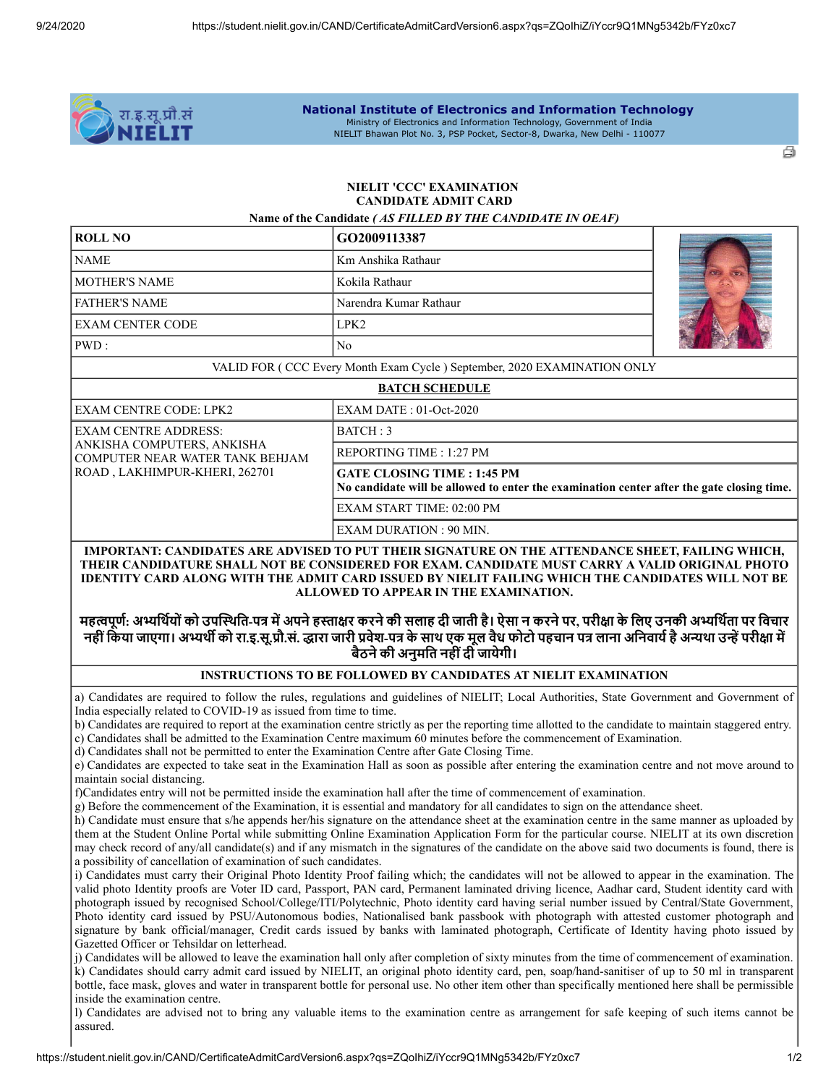

#### **National Institute of Electronics and Information Technology** Ministry of Electronics and Information Technology, Government of India NIELIT Bhawan Plot No. 3, PSP Pocket, Sector-8, Dwarka, New Delhi - 110077

ā

# **NIELIT 'CCC' EXAMINATION CANDIDATE ADMIT CARD**

| <b>ROLL NO</b>                                                                                                                | Name of the Candidate (AS FILLED BY THE CANDIDATE IN OEAF)                                                                      |  |
|-------------------------------------------------------------------------------------------------------------------------------|---------------------------------------------------------------------------------------------------------------------------------|--|
|                                                                                                                               | GO2009113387                                                                                                                    |  |
| <b>NAME</b>                                                                                                                   | Km Anshika Rathaur                                                                                                              |  |
| <b>MOTHER'S NAME</b>                                                                                                          | Kokila Rathaur                                                                                                                  |  |
| <b>FATHER'S NAME</b>                                                                                                          | Narendra Kumar Rathaur                                                                                                          |  |
| <b>EXAM CENTER CODE</b>                                                                                                       | LPK <sub>2</sub>                                                                                                                |  |
| PWD:                                                                                                                          | N <sub>o</sub>                                                                                                                  |  |
|                                                                                                                               | VALID FOR ( CCC Every Month Exam Cycle ) September, 2020 EXAMINATION ONLY                                                       |  |
|                                                                                                                               | <b>BATCH SCHEDULE</b>                                                                                                           |  |
| <b>EXAM CENTRE CODE: LPK2</b>                                                                                                 | $EXAMPLE:01-Oct-2020$                                                                                                           |  |
| <b>EXAM CENTRE ADDRESS:</b><br>ANKISHA COMPUTERS, ANKISHA<br>COMPUTER NEAR WATER TANK BEHJAM<br>ROAD, LAKHIMPUR-KHERI, 262701 | BATCH:3                                                                                                                         |  |
|                                                                                                                               | REPORTING TIME : 1:27 PM                                                                                                        |  |
|                                                                                                                               | <b>GATE CLOSING TIME : 1:45 PM</b><br>No candidate will be allowed to enter the examination center after the gate closing time. |  |
|                                                                                                                               | <b>EXAM START TIME: 02:00 PM</b>                                                                                                |  |
|                                                                                                                               | <b>EXAM DURATION: 90 MIN.</b>                                                                                                   |  |

# **THEIR CANDIDATURE SHALL NOT BE CONSIDERED FOR EXAM. CANDIDATE MUST CARRY A VALID ORIGINAL PHOTO IDENTITY CARD ALONG WITH THE ADMIT CARD ISSUED BY NIELIT FAILING WHICH THE CANDIDATES WILL NOT BE ALLOWED TO APPEAR IN THE EXAMINATION.**

# महत्वपूर्ण: अभ्यर्थियों को उपस्थिति-पत्र में अपने हस्ताक्षर करने की सलाह दी जाती है। ऐसा न करने पर, परीक्षा के लिए उनकी अभ्यर्थिता पर विचार नहीं किया जाएगा। अभ्यर्थी को रा.इ.सू.प्रौ.सं. द्धारा जारी प्रवेश-पत्र के साथ एक मूल वैध फोटो पहचान पत्र लाना अनिवार्य है अन्यथा उन्हें परीक्षा में **बैठनेकी अनुमित नहींदी जायेगी।**

## **INSTRUCTIONS TO BE FOLLOWED BY CANDIDATES AT NIELIT EXAMINATION**

a) Candidates are required to follow the rules, regulations and guidelines of NIELIT; Local Authorities, State Government and Government of India especially related to COVID-19 as issued from time to time.

b) Candidates are required to report at the examination centre strictly as per the reporting time allotted to the candidate to maintain staggered entry.

- c) Candidates shall be admitted to the Examination Centre maximum 60 minutes before the commencement of Examination.
- d) Candidates shall not be permitted to enter the Examination Centre after Gate Closing Time.

e) Candidates are expected to take seat in the Examination Hall as soon as possible after entering the examination centre and not move around to maintain social distancing.

f)Candidates entry will not be permitted inside the examination hall after the time of commencement of examination.

g) Before the commencement of the Examination, it is essential and mandatory for all candidates to sign on the attendance sheet.

h) Candidate must ensure that s/he appends her/his signature on the attendance sheet at the examination centre in the same manner as uploaded by them at the Student Online Portal while submitting Online Examination Application Form for the particular course. NIELIT at its own discretion may check record of any/all candidate(s) and if any mismatch in the signatures of the candidate on the above said two documents is found, there is a possibility of cancellation of examination of such candidates.

i) Candidates must carry their Original Photo Identity Proof failing which; the candidates will not be allowed to appear in the examination. The valid photo Identity proofs are Voter ID card, Passport, PAN card, Permanent laminated driving licence, Aadhar card, Student identity card with photograph issued by recognised School/College/ITI/Polytechnic, Photo identity card having serial number issued by Central/State Government, Photo identity card issued by PSU/Autonomous bodies, Nationalised bank passbook with photograph with attested customer photograph and signature by bank official/manager, Credit cards issued by banks with laminated photograph, Certificate of Identity having photo issued by Gazetted Officer or Tehsildar on letterhead.

j) Candidates will be allowed to leave the examination hall only after completion of sixty minutes from the time of commencement of examination. k) Candidates should carry admit card issued by NIELIT, an original photo identity card, pen, soap/hand-sanitiser of up to 50 ml in transparent bottle, face mask, gloves and water in transparent bottle for personal use. No other item other than specifically mentioned here shall be permissible inside the examination centre.

l) Candidates are advised not to bring any valuable items to the examination centre as arrangement for safe keeping of such items cannot be assured.